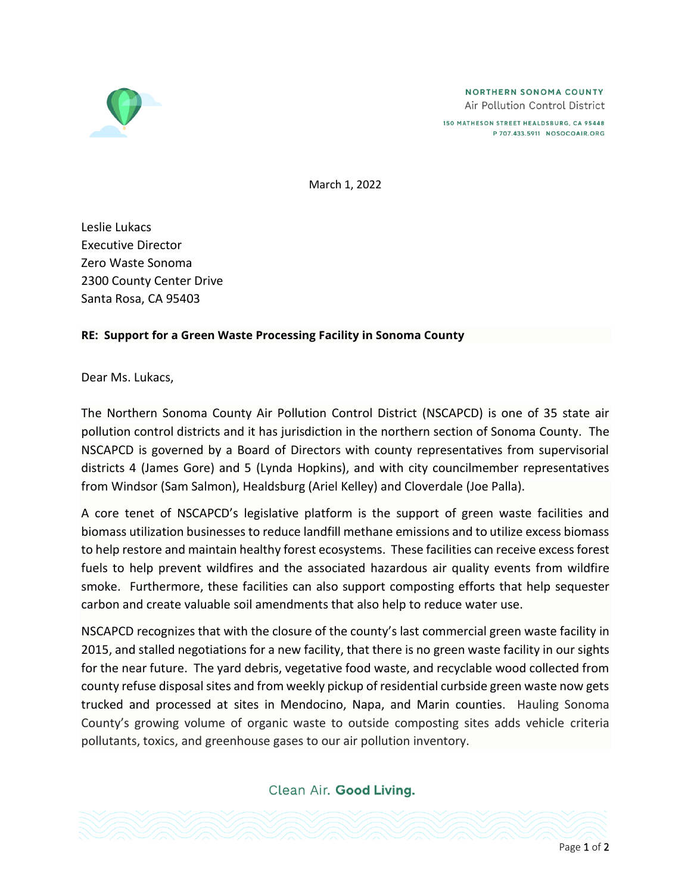

150 MATHESON STREET HEALDSBURG, CA 95448 P 707.433.5911 NOSOCOAIR.ORG

March 1, 2022

Leslie Lukacs Executive Director Zero Waste Sonoma 2300 County Center Drive Santa Rosa, CA 95403

## **RE: Support for a Green Waste Processing Facility in Sonoma County**

Dear Ms. Lukacs,

The Northern Sonoma County Air Pollution Control District (NSCAPCD) is one of 35 state air pollution control districts and it has jurisdiction in the northern section of Sonoma County. The NSCAPCD is governed by a Board of Directors with county representatives from supervisorial districts 4 (James Gore) and 5 (Lynda Hopkins), and with city councilmember representatives from Windsor (Sam Salmon), Healdsburg (Ariel Kelley) and Cloverdale (Joe Palla).

A core tenet of NSCAPCD's legislative platform is the support of green waste facilities and biomass utilization businesses to reduce landfill methane emissions and to utilize excess biomass to help restore and maintain healthy forest ecosystems. These facilities can receive excess forest fuels to help prevent wildfires and the associated hazardous air quality events from wildfire smoke. Furthermore, these facilities can also support composting efforts that help sequester carbon and create valuable soil amendments that also help to reduce water use.

NSCAPCD recognizes that with the closure of the county's last commercial green waste facility in 2015, and stalled negotiations for a new facility, that there is no green waste facility in our sights for the near future. The yard debris, vegetative food waste, and recyclable wood collected from county refuse disposal sites and from weekly pickup of residential curbside green waste now gets trucked and processed at sites in Mendocino, Napa, and Marin counties. Hauling Sonoma County's growing volume of organic waste to outside composting sites adds vehicle criteria pollutants, toxics, and greenhouse gases to our air pollution inventory.

Clean Air. Good Living.